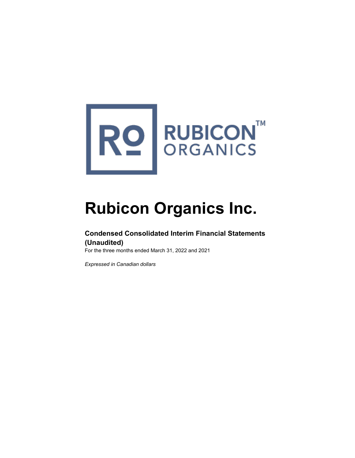

# **Rubicon Organics Inc.**

# **Condensed Consolidated Interim Financial Statements (Unaudited)**

For the three months ended March 31, 2022 and 2021

*Expressed in Canadian dollars*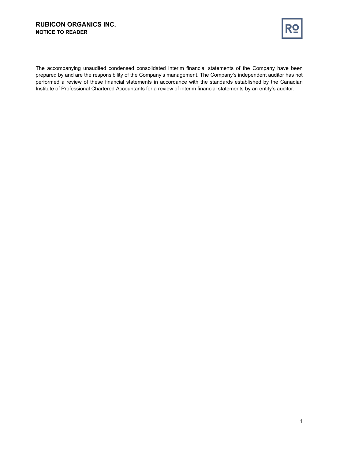

The accompanying unaudited condensed consolidated interim financial statements of the Company have been prepared by and are the responsibility of the Company's management. The Company's independent auditor has not performed a review of these financial statements in accordance with the standards established by the Canadian Institute of Professional Chartered Accountants for a review of interim financial statements by an entity's auditor.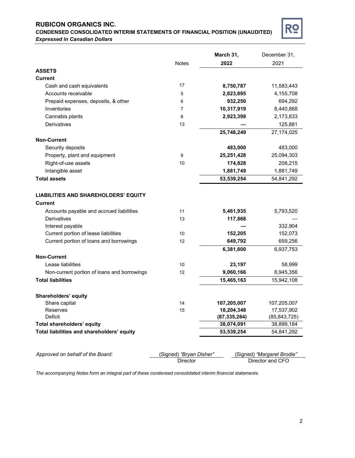# **CONDENSED CONSOLIDATED INTERIM STATEMENTS OF FINANCIAL POSITION (UNAUDITED)** *Expressed in Canadian Dollars*



|                                             |                         | March 31,      | December 31,               |
|---------------------------------------------|-------------------------|----------------|----------------------------|
|                                             | <b>Notes</b>            | 2022           | 2021                       |
| <b>ASSETS</b>                               |                         |                |                            |
| <b>Current</b>                              |                         |                |                            |
| Cash and cash equivalents                   | 17                      | 8,750,787      | 11,583,443                 |
| Accounts receivable                         | 5                       | 2,823,895      | 4,155,708                  |
| Prepaid expenses, deposits, & other         | 6                       | 932,250        | 694,292                    |
| Inventories                                 | 7                       | 10,317,919     | 8,440,868                  |
| Cannabis plants                             | 8                       | 2,923,398      | 2,173,833                  |
| Derivatives                                 | 13                      |                | 125,881                    |
|                                             |                         | 25,748,249     | 27,174,025                 |
| <b>Non-Current</b>                          |                         |                |                            |
| Security deposits                           |                         | 483,000        | 483,000                    |
| Property, plant and equipment               | 9                       | 25,251,428     | 25,094,303                 |
| Right-of-use assets                         | 10                      | 174,828        | 208,215                    |
| Intangible asset                            |                         | 1,881,749      | 1,881,749                  |
| <b>Total assets</b>                         |                         | 53,539,254     | 54,841,292                 |
|                                             |                         |                |                            |
| <b>LIABILITIES AND SHAREHOLDERS' EQUITY</b> |                         |                |                            |
| <b>Current</b>                              |                         |                |                            |
| Accounts payable and accrued liabilities    | 11                      | 5,461,935      | 5,793,520                  |
| <b>Derivatives</b>                          | 13                      | 117,868        |                            |
| Interest payable                            |                         |                | 332,904                    |
| Current portion of lease liabilities        | 10                      | 152,205        | 152,073                    |
| Current portion of loans and borrowings     | 12                      | 649,792        | 659,256                    |
|                                             |                         | 6,381,800      | 6,937,753                  |
| <b>Non-Current</b>                          |                         |                |                            |
| Lease liabilities                           | 10                      | 23,197         | 58,999                     |
| Non-current portion of loans and borrowings | 12                      | 9,060,166      | 8,945,356                  |
| <b>Total liabilities</b>                    |                         | 15,465,163     | 15,942,108                 |
|                                             |                         |                |                            |
| Shareholders' equity                        |                         |                |                            |
| Share capital                               | 14                      | 107,205,007    | 107,205,007                |
| Reserves                                    | 15                      | 18,204,348     | 17,537,902                 |
| Deficit                                     |                         | (87, 335, 264) | (85, 843, 725)             |
| Total shareholders' equity                  |                         | 38,074,091     | 38,899,184                 |
| Total liabilities and shareholders' equity  |                         | 53,539,254     | 54,841,292                 |
|                                             |                         |                |                            |
|                                             |                         |                |                            |
| Approved on behalf of the Board:            | (Signed) "Bryan Disher" |                | (Signed) "Margaret Brodie" |
|                                             | Director                |                | Director and CFO           |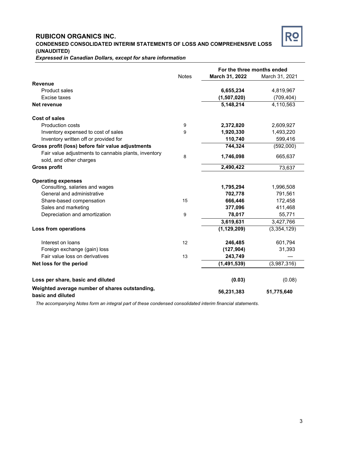# **RUBICON ORGANICS INC. CONDENSED CONSOLIDATED INTERIM STATEMENTS OF LOSS AND COMPREHENSIVE LOSS (UNAUDITED)**



*Expressed in Canadian Dollars, except for share information*

|                                                                                 |              | For the three months ended |                |
|---------------------------------------------------------------------------------|--------------|----------------------------|----------------|
|                                                                                 | <b>Notes</b> | March 31, 2022             | March 31, 2021 |
| <b>Revenue</b>                                                                  |              |                            |                |
| <b>Product sales</b>                                                            |              | 6,655,234                  | 4,819,967      |
| Excise taxes                                                                    |              | (1,507,020)                | (709, 404)     |
| Net revenue                                                                     |              | 5,148,214                  | 4,110,563      |
| <b>Cost of sales</b>                                                            |              |                            |                |
| <b>Production costs</b>                                                         | 9            | 2,372,820                  | 2,609,927      |
| Inventory expensed to cost of sales                                             | 9            | 1,920,330                  | 1,493,220      |
| Inventory written off or provided for                                           |              | 110,740                    | 599,416        |
| Gross profit (loss) before fair value adjustments                               |              | 744,324                    | (592,000)      |
| Fair value adjustments to cannabis plants, inventory<br>sold, and other charges | 8            | 1,746,098                  | 665,637        |
| <b>Gross profit</b>                                                             |              | 2,490,422                  | 73,637         |
| <b>Operating expenses</b>                                                       |              |                            |                |
| Consulting, salaries and wages                                                  |              | 1,795,294                  | 1,996,508      |
| General and administrative                                                      |              | 702,778                    | 791,561        |
| Share-based compensation                                                        | 15           | 666,446                    | 172,458        |
| Sales and marketing                                                             |              | 377,096                    | 411,468        |
| Depreciation and amortization                                                   | 9            | 78,017                     | 55,771         |
|                                                                                 |              | 3,619,631                  | 3,427,766      |
| <b>Loss from operations</b>                                                     |              | (1, 129, 209)              | (3,354,129)    |
| Interest on loans                                                               | 12           | 246,485                    | 601,794        |
| Foreign exchange (gain) loss                                                    |              | (127, 904)                 | 31,393         |
| Fair value loss on derivatives                                                  | 13           | 243,749                    |                |
| Net loss for the period                                                         |              | (1, 491, 539)              | (3,987,316)    |
| Loss per share, basic and diluted                                               |              | (0.03)                     | (0.08)         |
| Weighted average number of shares outstanding,<br>basic and diluted             |              | 56,231,383                 | 51,775,640     |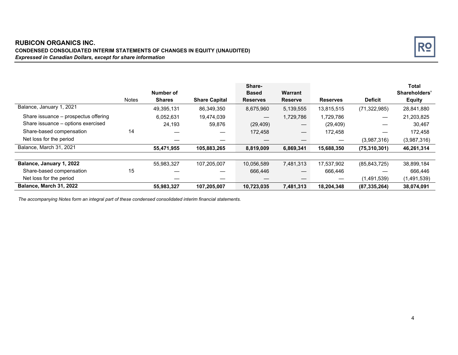# **RUBICON ORGANICS INC. CONDENSED CONSOLIDATED INTERIM STATEMENTS OF CHANGES IN EQUITY (UNAUDITED)** *Expressed in Canadian Dollars, except for share information*



|                                      |              |               |                      | Share-                   |                               |                 |                | <b>Total</b>  |
|--------------------------------------|--------------|---------------|----------------------|--------------------------|-------------------------------|-----------------|----------------|---------------|
|                                      |              | Number of     |                      | <b>Based</b>             | Warrant                       |                 |                | Shareholders' |
|                                      | <b>Notes</b> | <b>Shares</b> | <b>Share Capital</b> | <b>Reserves</b>          | <b>Reserve</b>                | <b>Reserves</b> | <b>Deficit</b> | <b>Equity</b> |
| Balance, January 1, 2021             |              | 49,395,131    | 86,349,350           | 8,675,960                | 5,139,555                     | 13,815,515      | (71, 322, 985) | 28,841,880    |
| Share issuance – prospectus offering |              | 6,052,631     | 19,474,039           | $\overline{\phantom{m}}$ | 1,729,786                     | 1,729,786       |                | 21,203,825    |
| Share issuance - options exercised   |              | 24,193        | 59,876               | (29, 409)                | $\overbrace{\phantom{13333}}$ | (29, 409)       |                | 30,467        |
| Share-based compensation             | 14           |               |                      | 172,458                  |                               | 172,458         |                | 172,458       |
| Net loss for the period              |              |               |                      |                          |                               |                 | (3,987,316)    | (3,987,316)   |
| Balance, March 31, 2021              |              | 55,471,955    | 105,883,265          | 8,819,009                | 6,869,341                     | 15,688,350      | (75, 310, 301) | 46,261,314    |
|                                      |              |               |                      |                          |                               |                 |                |               |
| Balance, January 1, 2022             |              | 55,983,327    | 107.205.007          | 10,056,589               | 7,481,313                     | 17,537,902      | (85, 843, 725) | 38,899,184    |
| Share-based compensation             | 15           |               |                      | 666,446                  |                               | 666,446         |                | 666,446       |
| Net loss for the period              |              |               |                      |                          |                               | —               | (1,491,539)    | (1,491,539)   |
| Balance, March 31, 2022              |              | 55,983,327    | 107,205,007          | 10,723,035               | 7,481,313                     | 18,204,348      | (87, 335, 264) | 38,074,091    |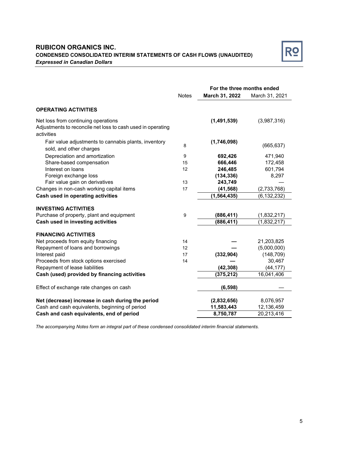# **RUBICON ORGANICS INC. CONDENSED CONSOLIDATED INTERIM STATEMENTS OF CASH FLOWS (UNAUDITED)** *Expressed in Canadian Dollars*



|                                                                                                                  | For the three months ended |                |                |
|------------------------------------------------------------------------------------------------------------------|----------------------------|----------------|----------------|
|                                                                                                                  | <b>Notes</b>               | March 31, 2022 | March 31, 2021 |
| <b>OPERATING ACTIVITIES</b>                                                                                      |                            |                |                |
| Net loss from continuing operations<br>Adjustments to reconcile net loss to cash used in operating<br>activities |                            | (1,491,539)    | (3,987,316)    |
| Fair value adjustments to cannabis plants, inventory<br>sold, and other charges                                  | 8                          | (1,746,098)    | (665, 637)     |
| Depreciation and amortization                                                                                    | 9                          | 692,426        | 471,940        |
| Share-based compensation                                                                                         | 15                         | 666,446        | 172,458        |
| Interest on loans                                                                                                | 12                         | 246,485        | 601,794        |
| Foreign exchange loss                                                                                            |                            | (134, 336)     | 8,297          |
| Fair value gain on derivatives                                                                                   | 13                         | 243,749        |                |
| Changes in non-cash working capital items                                                                        | 17                         | (41, 568)      | (2,733,768)    |
| Cash used in operating activities                                                                                |                            | (1, 564, 435)  | (6, 132, 232)  |
| <b>INVESTING ACTIVITIES</b>                                                                                      |                            |                |                |
| Purchase of property, plant and equipment                                                                        | 9                          | (886, 411)     | (1,832,217)    |
| Cash used in investing activities                                                                                |                            | (886, 411)     | (1,832,217)    |
| <b>FINANCING ACTIVITIES</b>                                                                                      |                            |                |                |
| Net proceeds from equity financing                                                                               | 14                         |                | 21,203,825     |
| Repayment of loans and borrowings                                                                                | 12                         |                | (5,000,000)    |
| Interest paid                                                                                                    | 17                         | (332, 904)     | (148, 709)     |
| Proceeds from stock options exercised                                                                            | 14                         |                | 30,467         |
| Repayment of lease liabilities                                                                                   |                            | (42, 308)      | (44, 177)      |
| Cash (used) provided by financing activities                                                                     |                            | (375, 212)     | 16,041,406     |
| Effect of exchange rate changes on cash                                                                          |                            | (6, 598)       |                |
| Net (decrease) increase in cash during the period                                                                |                            | (2,832,656)    | 8,076,957      |
| Cash and cash equivalents, beginning of period                                                                   |                            | 11,583,443     | 12,136,459     |
| Cash and cash equivalents, end of period                                                                         |                            | 8,750,787      | 20,213,416     |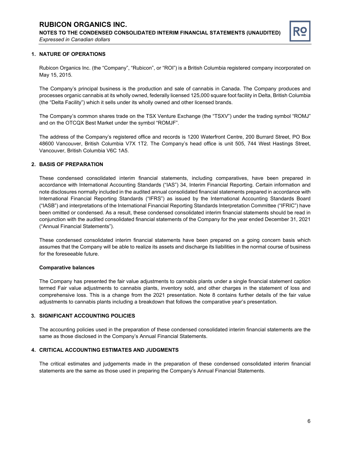

## **1. NATURE OF OPERATIONS**

Rubicon Organics Inc. (the "Company", "Rubicon", or "ROI") is a British Columbia registered company incorporated on May 15, 2015.

The Company's principal business is the production and sale of cannabis in Canada. The Company produces and processes organic cannabis at its wholly owned, federally licensed 125,000 square foot facility in Delta, British Columbia (the "Delta Facility") which it sells under its wholly owned and other licensed brands.

The Company's common shares trade on the TSX Venture Exchange (the "TSXV") under the trading symbol "ROMJ" and on the OTCQX Best Market under the symbol "ROMJF".

The address of the Company's registered office and records is 1200 Waterfront Centre, 200 Burrard Street, PO Box 48600 Vancouver, British Columbia V7X 1T2. The Company's head office is unit 505, 744 West Hastings Street, Vancouver, British Columbia V6C 1A5.

## **2. BASIS OF PREPARATION**

These condensed consolidated interim financial statements, including comparatives, have been prepared in accordance with International Accounting Standards ("IAS") 34, Interim Financial Reporting. Certain information and note disclosures normally included in the audited annual consolidated financial statements prepared in accordance with International Financial Reporting Standards ("IFRS") as issued by the International Accounting Standards Board ("IASB") and interpretations of the International Financial Reporting Standards Interpretation Committee ("IFRIC") have been omitted or condensed. As a result, these condensed consolidated interim financial statements should be read in conjunction with the audited consolidated financial statements of the Company for the year ended December 31, 2021 ("Annual Financial Statements").

These condensed consolidated interim financial statements have been prepared on a going concern basis which assumes that the Company will be able to realize its assets and discharge its liabilities in the normal course of business for the foreseeable future.

#### **Comparative balances**

The Company has presented the fair value adjustments to cannabis plants under a single financial statement caption termed Fair value adjustments to cannabis plants, inventory sold, and other charges in the statement of loss and comprehensive loss. This is a change from the 2021 presentation. Note 8 contains further details of the fair value adjustments to cannabis plants including a breakdown that follows the comparative year's presentation.

# **3. SIGNIFICANT ACCOUNTING POLICIES**

The accounting policies used in the preparation of these condensed consolidated interim financial statements are the same as those disclosed in the Company's Annual Financial Statements.

## **4. CRITICAL ACCOUNTING ESTIMATES AND JUDGMENTS**

The critical estimates and judgements made in the preparation of these condensed consolidated interim financial statements are the same as those used in preparing the Company's Annual Financial Statements.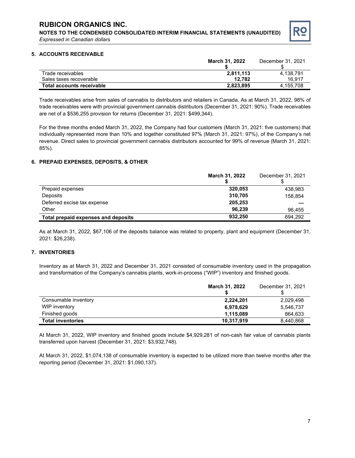

## **5. ACCOUNTS RECEIVABLE**

|                           | <b>March 31, 2022</b> | December 31, 2021 |
|---------------------------|-----------------------|-------------------|
|                           |                       |                   |
| Trade receivables         | 2.811.113             | 4.138.791         |
| Sales taxes recoverable   | 12.782                | 16.917            |
| Total accounts receivable | 2,823,895             | 4.155.708         |

Trade receivables arise from sales of cannabis to distributors and retailers in Canada. As at March 31, 2022, 98% of trade receivables were with provincial government cannabis distributors (December 31, 2021: 90%). Trade receivables are net of a \$536,255 provision for returns (December 31, 2021: \$499,344).

For the three months ended March 31, 2022, the Company had four customers (March 31, 2021: five customers) that individually represented more than 10% and together constituted 97% (March 31, 2021: 97%), of the Company's net revenue. Direct sales to provincial government cannabis distributors accounted for 99% of revenue (March 31, 2021: 85%).

## **6. PREPAID EXPENSES, DEPOSITS, & OTHER**

|                                     | <b>March 31, 2022</b> | December 31, 2021 |
|-------------------------------------|-----------------------|-------------------|
|                                     |                       |                   |
| Prepaid expenses                    | 320.053               | 438,983           |
| Deposits                            | 310,705               | 158.854           |
| Deferred excise tax expense         | 205,253               |                   |
| Other                               | 96.239                | 96.455            |
| Total prepaid expenses and deposits | 932,250               | 694.292           |

As at March 31, 2022, \$67,106 of the deposits balance was related to property, plant and equipment (December 31, 2021: \$26,238).

### **7. INVENTORIES**

Inventory as at March 31, 2022 and December 31, 2021 consisted of consumable inventory used in the propagation and transformation of the Company's cannabis plants, work-in-process ("WIP") inventory and finished goods.

|                          | <b>March 31, 2022</b> | December 31, 2021 |
|--------------------------|-----------------------|-------------------|
| Consumable inventory     | 2,224,201             | 2,029,498         |
| WIP inventory            | 6,978,629             | 5,546,737         |
| Finished goods           | 1.115.089             | 864,633           |
| <b>Total inventories</b> | 10,317,919            | 8,440,868         |

At March 31, 2022, WIP inventory and finished goods include \$4,929,281 of non-cash fair value of cannabis plants transferred upon harvest (December 31, 2021: \$3,932,748).

At March 31, 2022, \$1,074,138 of consumable inventory is expected to be utilized more than twelve months after the reporting period (December 31, 2021: \$1,090,137).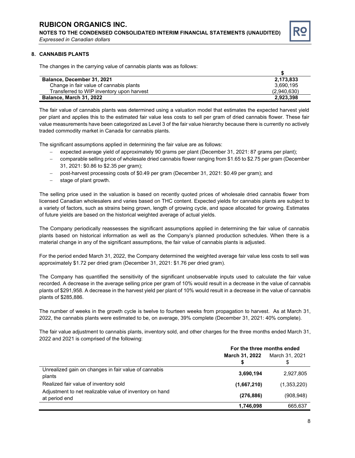**NOTES TO THE CONDENSED CONSOLIDATED INTERIM FINANCIAL STATEMENTS (UNAUDITED)** *Expressed in Canadian dollars*



## **8. CANNABIS PLANTS**

The changes in the carrying value of cannabis plants was as follows:

| Balance, December 31, 2021                | 2,173,833   |
|-------------------------------------------|-------------|
| Change in fair value of cannabis plants   | 3.690.195   |
| Transferred to WIP inventory upon harvest | (2.940.630) |
| <b>Balance, March 31, 2022</b>            | 2,923,398   |

The fair value of cannabis plants was determined using a valuation model that estimates the expected harvest yield per plant and applies this to the estimated fair value less costs to sell per gram of dried cannabis flower. These fair value measurements have been categorized as Level 3 of the fair value hierarchy because there is currently no actively traded commodity market in Canada for cannabis plants.

The significant assumptions applied in determining the fair value are as follows:

- − expected average yield of approximately 90 grams per plant (December 31, 2021: 87 grams per plant);
- − comparable selling price of wholesale dried cannabis flower ranging from \$1.65 to \$2.75 per gram (December 31, 2021: \$0.86 to \$2.35 per gram);
- − post-harvest processing costs of \$0.49 per gram (December 31, 2021: \$0.49 per gram); and
- stage of plant growth.

The selling price used in the valuation is based on recently quoted prices of wholesale dried cannabis flower from licensed Canadian wholesalers and varies based on THC content. Expected yields for cannabis plants are subject to a variety of factors, such as strains being grown, length of growing cycle, and space allocated for growing. Estimates of future yields are based on the historical weighted average of actual yields.

The Company periodically reassesses the significant assumptions applied in determining the fair value of cannabis plants based on historical information as well as the Company's planned production schedules. When there is a material change in any of the significant assumptions, the fair value of cannabis plants is adjusted.

For the period ended March 31, 2022, the Company determined the weighted average fair value less costs to sell was approximately \$1.72 per dried gram (December 31, 2021: \$1.76 per dried gram).

The Company has quantified the sensitivity of the significant unobservable inputs used to calculate the fair value recorded. A decrease in the average selling price per gram of 10% would result in a decrease in the value of cannabis plants of \$291,958. A decrease in the harvest yield per plant of 10% would result in a decrease in the value of cannabis plants of \$285,886.

The number of weeks in the growth cycle is twelve to fourteen weeks from propagation to harvest. As at March 31, 2022, the cannabis plants were estimated to be, on average, 39% complete (December 31, 2021: 40% complete).

The fair value adjustment to cannabis plants, inventory sold, and other charges for the three months ended March 31, 2022 and 2021 is comprised of the following:

|                                                                          | For the three months ended       |             |  |
|--------------------------------------------------------------------------|----------------------------------|-------------|--|
|                                                                          | March 31, 2022<br>March 31, 2021 |             |  |
|                                                                          |                                  |             |  |
| Unrealized gain on changes in fair value of cannabis<br>plants           | 3,690,194                        | 2,927,805   |  |
| Realized fair value of inventory sold                                    | (1,667,210)                      | (1,353,220) |  |
| Adjustment to net realizable value of inventory on hand<br>at period end | (276, 886)                       | (908, 948)  |  |
|                                                                          | 1,746,098                        | 665,637     |  |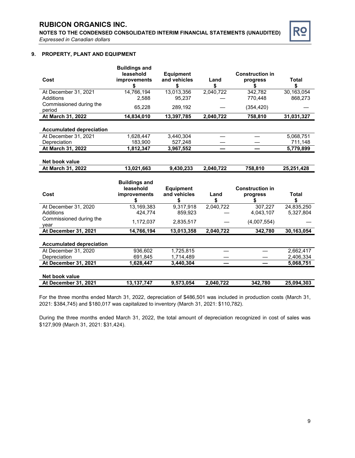

# **9. PROPERTY, PLANT AND EQUIPMENT**

|                                   | <b>Buildings and</b> |                  |           |                        |              |
|-----------------------------------|----------------------|------------------|-----------|------------------------|--------------|
|                                   | leasehold            | <b>Equipment</b> |           | <b>Construction in</b> |              |
| Cost                              | improvements         | and vehicles     | Land      | progress               | <b>Total</b> |
|                                   | \$                   | \$               | \$        | \$                     | \$           |
| At December 31, 2021<br>Additions | 14,766,194           | 13,013,356       | 2,040,722 | 342,782                | 30, 163, 054 |
|                                   | 2,588                | 95,237           |           | 770,448                | 868,273      |
| Commissioned during the<br>period | 65,228               | 289,192          |           | (354, 420)             |              |
| At March 31, 2022                 | 14,834,010           | 13,397,785       | 2,040,722 | 758,810                | 31,031,327   |
| <b>Accumulated depreciation</b>   |                      |                  |           |                        |              |
| At December 31, 2021              | 1,628,447            | 3,440,304        |           |                        | 5,068,751    |
| Depreciation                      | 183,900              | 527,248          |           |                        | 711,148      |
| At March 31, 2022                 | 1,812,347            | 3,967,552        |           |                        | 5,779,899    |
|                                   |                      |                  |           |                        |              |
| Net book value                    |                      |                  |           |                        |              |
| At March 31, 2022                 | 13,021,663           | 9,430,233        | 2,040,722 | 758,810                | 25,251,428   |
|                                   |                      |                  |           |                        |              |
|                                   | <b>Buildings and</b> |                  |           |                        |              |
|                                   | leasehold            | <b>Equipment</b> |           | <b>Construction in</b> |              |
| Cost                              | improvements         | and vehicles     | Land      | progress               | <b>Total</b> |
|                                   | \$                   | \$               | \$        | S                      | \$           |
| At December 31, 2020              | 13,169,383           | 9,317,918        | 2,040,722 | 307,227                | 24,835,250   |
| Additions                         | 424,774              | 859,923          |           | 4,043,107              | 5,327,804    |
| Commissioned during the           | 1,172,037            | 2,835,517        |           | (4,007,554)            |              |
| year<br>At December 31, 2021      | 14,766,194           | 13,013,358       | 2,040,722 | 342,780                | 30,163,054   |
|                                   |                      |                  |           |                        |              |
| <b>Accumulated depreciation</b>   |                      |                  |           |                        |              |
| At December 31, 2020              | 936,602              | 1,725,815        |           |                        | 2,662,417    |
| Depreciation                      | 691,845              | 1,714,489        |           |                        | 2,406,334    |
| At December 31, 2021              | 1,628,447            | 3,440,304        |           |                        | 5,068,751    |
| Net book value                    |                      | 9,573,054        |           |                        |              |

For the three months ended March 31, 2022, depreciation of \$486,501 was included in production costs (March 31, 2021: \$384,745) and \$180,017 was capitalized to inventory (March 31, 2021: \$110,782).

During the three months ended March 31, 2022, the total amount of depreciation recognized in cost of sales was \$127,909 (March 31, 2021: \$31,424).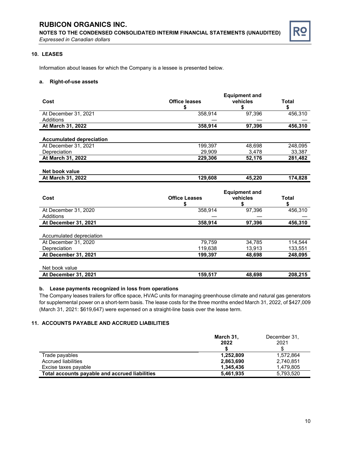**NOTES TO THE CONDENSED CONSOLIDATED INTERIM FINANCIAL STATEMENTS (UNAUDITED)** *Expressed in Canadian dollars*



# **10. LEASES**

Information about leases for which the Company is a lessee is presented below.

#### **a. Right-of-use assets**

| Cost                                | <b>Office leases</b><br>\$ | <b>Equipment and</b><br>vehicles<br>\$ | <b>Total</b><br>\$ |
|-------------------------------------|----------------------------|----------------------------------------|--------------------|
| At December 31, 2021                | 358,914                    | 97,396                                 | 456,310            |
| Additions                           |                            |                                        |                    |
| At March 31, 2022                   | 358,914                    | 97,396                                 | 456,310            |
|                                     |                            |                                        |                    |
| <b>Accumulated depreciation</b>     |                            |                                        |                    |
| At December 31, 2021                | 199,397                    | 48,698                                 | 248,095            |
| Depreciation                        | 29,909                     | 3,478                                  | 33,387             |
| At March 31, 2022                   | 229,306                    | 52,176                                 | 281,482            |
| Net book value<br>At March 31, 2022 | 129,608                    | 45,220                                 | 174,828            |
| Cost                                | <b>Office Leases</b><br>\$ | <b>Equipment and</b><br>vehicles<br>\$ | Total<br>\$        |
| At December 31, 2020                | 358,914                    | 97,396                                 | 456,310            |
| Additions                           |                            |                                        |                    |
| At December 31, 2021                | 358,914                    | 97,396                                 | 456,310            |
| Accumulated depreciation            |                            |                                        |                    |
| At December 31, 2020                | 79,759                     | 34,785                                 | 114,544            |
| Depreciation                        | 119,638                    | 13,913                                 | 133,551            |
| At December 31, 2021                | 199,397                    | 48,698                                 | 248,095            |

# Net book value **At December 31, 2021 159,517 48,698 208,215**

## **b. Lease payments recognized in loss from operations**

The Company leases trailers for office space, HVAC units for managing greenhouse climate and natural gas generators for supplemental power on a short-term basis. The lease costs for the three months ended March 31, 2022, of \$427,009 (March 31, 2021: \$619,647) were expensed on a straight-line basis over the lease term.

# **11. ACCOUNTS PAYABLE AND ACCRUED LIABILITIES**

|                                                | March 31, | December 31, |
|------------------------------------------------|-----------|--------------|
|                                                | 2022      | 2021         |
|                                                |           |              |
| Trade payables                                 | 1,252,809 | 1,572,864    |
| Accrued liabilities                            | 2,863,690 | 2,740,851    |
| Excise taxes payable                           | 1,345,436 | 1.479.805    |
| Total accounts payable and accrued liabilities | 5,461,935 | 5,793,520    |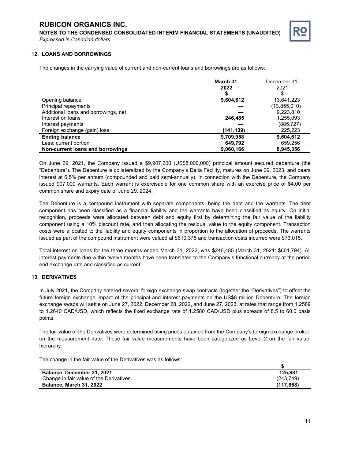

## **12. LOANS AND BORROWINGS**

The changes in the carrying value of current and non-current loans and borrowings are as follows:

|                                      | March 31.  | December 31.   |
|--------------------------------------|------------|----------------|
|                                      | 2022       | 2021           |
|                                      |            |                |
| Opening balance                      | 9,604,612  | 13,641,223     |
| Principal repayments                 |            | (13, 855, 010) |
| Additional loans and borrowings, net |            | 9,223,810      |
| Interest on loans                    | 246,485    | 1,255,093      |
| Interest payments                    |            | (885,727)      |
| Foreign exchange (gain) loss         | (141, 139) | 225,223        |
| <b>Ending balance</b>                | 9,709,958  | 9,604,612      |
| Less: current portion                | 649,792    | 659,256        |
| Non-current loans and borrowings     | 9,060,166  | 8,945,356      |

On June 29, 2021, the Company issued a \$9,907,200 (US\$8,000,000) principal amount secured debenture (the "Debenture"). The Debenture is collateralized by the Company's Delta Facility, matures on June 29, 2023, and bears interest at 6.5% per annum (compounded and paid semi-annually). In connection with the Debenture, the Company issued 907,000 warrants. Each warrant is exercisable for one common share with an exercise price of \$4.00 per common share and expiry date of June 29, 2024.

The Debenture is a compound instrument with separate components, being the debt and the warrants. The debt component has been classified as a financial liability and the warrants have been classified as equity. On initial recognition, proceeds were allocated between debt and equity first by determining the fair value of the liability component using a 10% discount rate, and then allocating the residual value to the equity component. Transaction costs were allocated to the liability and equity components in proportion to the allocation of proceeds. The warrants issued as part of the compound instrument were valued at \$610,375 and transaction costs incurred were \$73,015.

Total interest on loans for the three months ended March 31, 2022, was \$246,485 (March 31, 2021: \$601,794). All interest payments due within twelve months have been translated to the Company's functional currency at the period end exchange rate and classified as current.

## **13. DERIVATIVES**

In July 2021, the Company entered several foreign exchange swap contracts (together the "Derivatives") to offset the future foreign exchange impact of the principal and interest payments on the US\$8 million Debenture. The foreign exchange swaps will settle on June 27, 2022, December 28, 2022, and June 27, 2023, at rates that range from 1.2589 to 1.2640 CAD/USD, which reflects the fixed exchange rate of 1.2580 CAD/USD plus spreads of 8.5 to 60.0 basis points.

The fair value of the Derivatives were determined using prices obtained from the Company's foreign exchange broker on the measurement date. These fair value measurements have been categorized as Level 2 on the fair value hierarchy.

The change in the fair value of the Derivatives was as follows:

| Balance, December 31, 2021              | 125.881   |
|-----------------------------------------|-----------|
| Change in fair value of the Derivatives | (243.749) |
| <b>Balance, March 31, 2022</b>          | (117.868) |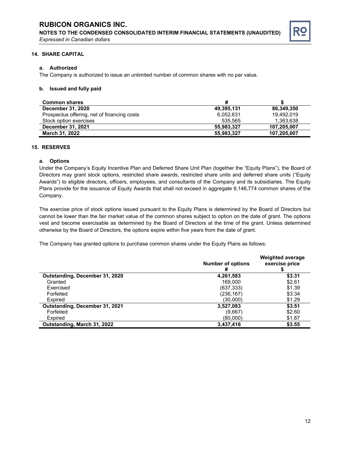

## **14. SHARE CAPITAL**

# **a. Authorized**

The Company is authorized to issue an unlimited number of common shares with no par value.

## **b. Issued and fully paid**

| <b>Common shares</b>                        | #          |             |
|---------------------------------------------|------------|-------------|
| <b>December 31, 2020</b>                    | 49,395,131 | 86,349,350  |
| Prospectus offering, net of financing costs | 6.052.631  | 19.492.019  |
| Stock option exercises                      | 535.565    | 1.363.638   |
| <b>December 31, 2021</b>                    | 55.983.327 | 107.205.007 |
| March 31, 2022                              | 55,983,327 | 107,205,007 |

# **15. RESERVES**

# **a. Options**

Under the Company's Equity Incentive Plan and Deferred Share Unit Plan (together the "Equity Plans"), the Board of Directors may grant stock options, restricted share awards, restricted share units and deferred share units ("Equity Awards") to eligible directors, officers, employees, and consultants of the Company and its subsidiaries. The Equity Plans provide for the issuance of Equity Awards that shall not exceed in aggregate 9,146,774 common shares of the Company.

The exercise price of stock options issued pursuant to the Equity Plans is determined by the Board of Directors but cannot be lower than the fair market value of the common shares subject to option on the date of grant. The options vest and become exercisable as determined by the Board of Directors at the time of the grant. Unless determined otherwise by the Board of Directors, the options expire within five years from the date of grant.

The Company has granted options to purchase common shares under the Equity Plans as follows:

|                                       | <b>Number of options</b><br>Ħ | <b>Weighted average</b><br>exercise price |
|---------------------------------------|-------------------------------|-------------------------------------------|
| Outstanding, December 31, 2020        | 4,261,583                     | \$3.31                                    |
| Granted                               | 169.000                       | \$2.61                                    |
| Exercised                             | (637, 333)                    | \$1.39                                    |
| Forfeited                             | (236,167)                     | \$3.34                                    |
| Expired                               | (30.000)                      | \$1.29                                    |
| <b>Outstanding, December 31, 2021</b> | 3,527,083                     | \$3.51                                    |
| Forfeited                             | (9,667)                       | \$2.60                                    |
| Expired                               | (80,000)                      | \$1.87                                    |
| Outstanding, March 31, 2022           | 3,437,416                     | \$3.55                                    |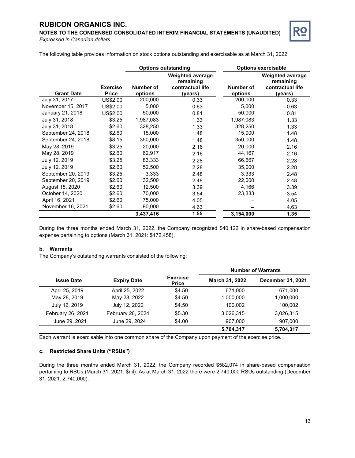**NOTES TO THE CONDENSED CONSOLIDATED INTERIM FINANCIAL STATEMENTS (UNAUDITED)** *Expressed in Canadian dollars*



The following table provides information on stock options outstanding and exercisable as at March 31, 2022:

|                    |                                 | <b>Options outstanding</b> |                                                                     |                      | <b>Options exercisable</b>                                          |
|--------------------|---------------------------------|----------------------------|---------------------------------------------------------------------|----------------------|---------------------------------------------------------------------|
| <b>Grant Date</b>  | <b>Exercise</b><br><b>Price</b> | Number of<br>options       | <b>Weighted average</b><br>remaining<br>contractual life<br>(years) | Number of<br>options | <b>Weighted average</b><br>remaining<br>contractual life<br>(years) |
| July 31, 2017      | US\$2.00                        | 200,000                    | 0.33                                                                | 200,000              | 0.33                                                                |
| November 15, 2017  | US\$2.00                        | 5,000                      | 0.63                                                                | 5,000                | 0.63                                                                |
| January 21, 2018   | US\$2.00                        | 50,000                     | 0.81                                                                | 50,000               | 0.81                                                                |
| July 31, 2018      | \$3.25                          | 1,987,083                  | 1.33                                                                | 1,987,083            | 1.33                                                                |
| July 31, 2018      | \$2.60                          | 328,250                    | 1.33                                                                | 328,250              | 1.33                                                                |
| September 24, 2018 | \$2.60                          | 15,000                     | 1.48                                                                | 15,000               | 1.48                                                                |
| September 24, 2018 | \$8.15                          | 350,000                    | 1.48                                                                | 350,000              | 1.48                                                                |
| May 28, 2019       | \$3.25                          | 20,000                     | 2.16                                                                | 20,000               | 2.16                                                                |
| May 28, 2019       | \$2.60                          | 62,917                     | 2.16                                                                | 44,167               | 2.16                                                                |
| July 12, 2019      | \$3.25                          | 83,333                     | 2.28                                                                | 66,667               | 2.28                                                                |
| July 12, 2019      | \$2.60                          | 52,500                     | 2.28                                                                | 35,000               | 2.28                                                                |
| September 20, 2019 | \$3.25                          | 3,333                      | 2.48                                                                | 3,333                | 2.48                                                                |
| September 20, 2019 | \$2.60                          | 32,500                     | 2.48                                                                | 22,000               | 2.48                                                                |
| August 18, 2020    | \$2.60                          | 12,500                     | 3.39                                                                | 4,166                | 3.39                                                                |
| October 14, 2020   | \$2.60                          | 70,000                     | 3.54                                                                | 23,333               | 3.54                                                                |
| April 16, 2021     | \$2.60                          | 75,000                     | 4.05                                                                |                      | 4.05                                                                |
| November 16, 2021  | \$2.60                          | 90,000                     | 4.63                                                                |                      | 4.63                                                                |
|                    |                                 | 3,437,416                  | 1.55                                                                | 3,154,000            | 1.35                                                                |

During the three months ended March 31, 2022, the Company recognized \$40,122 in share-based compensation expense pertaining to options (March 31, 2021: \$172,458).

### **b. Warrants**

The Company's outstanding warrants consisted of the following:

|                   |                    |                                 | <b>Number of Warrants</b> |                          |
|-------------------|--------------------|---------------------------------|---------------------------|--------------------------|
| <b>Issue Date</b> | <b>Expiry Date</b> | <b>Exercise</b><br><b>Price</b> | March 31, 2022            | <b>December 31, 2021</b> |
| April 25, 2019    | April 25, 2022     | \$4.50                          | 671.000                   | 671.000                  |
| May 28, 2019      | May 28, 2022       | \$4.50                          | 1,000,000                 | 1,000,000                |
| July 12, 2019     | July 12, 2022      | \$4.50                          | 100.002                   | 100,002                  |
| February 26, 2021 | February 26, 2024  | \$5.30                          | 3,026,315                 | 3,026,315                |
| June 29, 2021     | June 29, 2024      | \$4.00                          | 907,000                   | 907,000                  |
|                   |                    |                                 | 5,704,317                 | 5,704,317                |

Each warrant is exercisable into one common share of the Company upon payment of the exercise price.

### **c. Restricted Share Units ("RSUs")**

During the three months ended March 31, 2022, the Company recorded \$582,074 in share-based compensation pertaining to RSUs (March 31, 2021: \$nil). As at March 31, 2022 there were 2,740,000 RSUs outstanding (December 31, 2021: 2,740,000).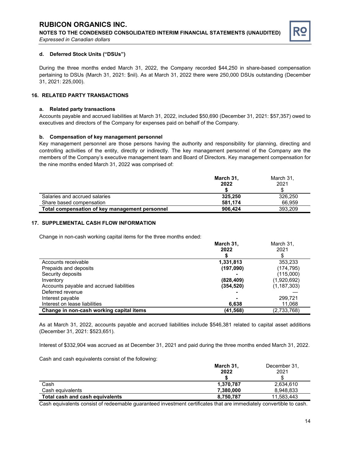**NOTES TO THE CONDENSED CONSOLIDATED INTERIM FINANCIAL STATEMENTS (UNAUDITED)** *Expressed in Canadian dollars*



## **d. Deferred Stock Units ("DSUs")**

During the three months ended March 31, 2022, the Company recorded \$44,250 in share-based compensation pertaining to DSUs (March 31, 2021: \$nil). As at March 31, 2022 there were 250,000 DSUs outstanding (December 31, 2021: 225,000).

## **16. RELATED PARTY TRANSACTIONS**

#### **a. Related party transactions**

Accounts payable and accrued liabilities at March 31, 2022, included \$50,690 (December 31, 2021: \$57,357) owed to executives and directors of the Company for expenses paid on behalf of the Company.

### **b. Compensation of key management personnel**

Key management personnel are those persons having the authority and responsibility for planning, directing and controlling activities of the entity, directly or indirectly. The key management personnel of the Company are the members of the Company's executive management team and Board of Directors. Key management compensation for the nine months ended March 31, 2022 was comprised of:

|                                                | March 31, | March 31. |
|------------------------------------------------|-----------|-----------|
|                                                | 2022      | 2021      |
|                                                |           |           |
| Salaries and accrued salaries                  | 325.250   | 326,250   |
| Share based compensation                       | 581.174   | 66.959    |
| Total compensation of key management personnel | 906.424   | 393.209   |

## **17. SUPPLEMENTAL CASH FLOW INFORMATION**

Change in non-cash working capital items for the three months ended:

|                                          | March 31,  | March 31,     |
|------------------------------------------|------------|---------------|
|                                          | 2022       | 2021          |
|                                          |            |               |
| Accounts receivable                      | 1,331,813  | 353,233       |
| Prepaids and deposits                    | (197,090)  | (174,795)     |
| Security deposits                        |            | (115,000)     |
| Inventory                                | (828, 409) | (1,920,692)   |
| Accounts payable and accrued liabilities | (354, 520) | (1, 187, 303) |
| Deferred revenue                         |            |               |
| Interest payable                         |            | 299.721       |
| Interest on lease liabilities            | 6,638      | 11,068        |
| Change in non-cash working capital items | (41,568)   | (2,733,768)   |

As at March 31, 2022, accounts payable and accrued liabilities include \$546,381 related to capital asset additions (December 31, 2021: \$523,651).

Interest of \$332,904 was accrued as at December 31, 2021 and paid during the three months ended March 31, 2022.

Cash and cash equivalents consist of the following:

|                                 | March 31, | December 31, |
|---------------------------------|-----------|--------------|
|                                 | 2022      | 2021         |
|                                 |           |              |
| Cash                            | 1,370,787 | 2,634,610    |
| Cash equivalents                | 7,380,000 | 8,948,833    |
| Total cash and cash equivalents | 8,750,787 | 11,583,443   |

Cash equivalents consist of redeemable guaranteed investment certificates that are immediately convertible to cash.